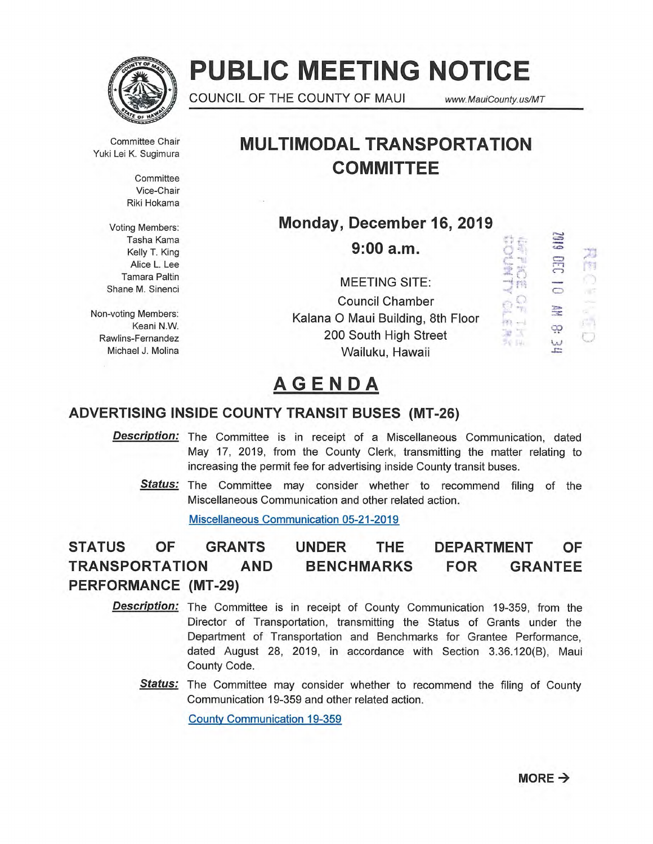

# **PUBLIC MEETING NOTICE**

**1** COUNCIL OF THE COUNTY OF MAUI www.MauiCounty.us/MT

 $\mathbb{Q}$ 

 $-37 - -1$ 

軍医

70 IV.

P. 陶

a.

 $\mathcal{L}^{\prime}$  )

 $\circ$ 

ထု

 $\frac{w}{r}$ 

Committee Chair Yuki Lei K. Sugimura

> **Committee** Vice-Chair Riki Hokama

Voting Members: Tasha Kama Kelly T. King Alice L. Lee Tamara Paltin Shane M. Sinenci

# **MULTIMODAL TRANSPORTATION COMMITTEE**

**Monday, December 16, 2019** 

**9:00 a.m.** 

MEETING SITE: Council Chamber Non-voting Members: Kalana 0 Maui Building, 8th Floor Keani N.W. Rawlins-Fernandez **200 South High Street** Michael J. Molina Wailuku, Hawaii

# **AGENDA**

# **ADVERTISING INSIDE COUNTY TRANSIT BUSES (MT-26)**

- **Description:** The Committee is in receipt of a Miscellaneous Communication, dated May 17, 2019, from the County Clerk, transmitting the matter relating to increasing the permit fee for advertising inside County transit buses.
	- **Status:** The Committee may consider whether to recommend filing of the Miscellaneous Communication and other related action.

Miscellaneous Communication 05-21-2019

# **STATUS OF GRANTS UNDER THE DEPARTMENT OF TRANSPORTATION AND BENCHMARKS FOR GRANTEE PERFORMANCE (MT-29)**

- **Description:** The Committee is in receipt of County Communication 19-359, from the Director of Transportation, transmitting the Status of Grants under the Department of Transportation and Benchmarks for Grantee Performance, dated August 28, 2019, in accordance with Section 3.36.120(B), Maui County Code.
	- Status: The Committee may consider whether to recommend the filing of County Communication 19-359 and other related action.

County Communication 19-359